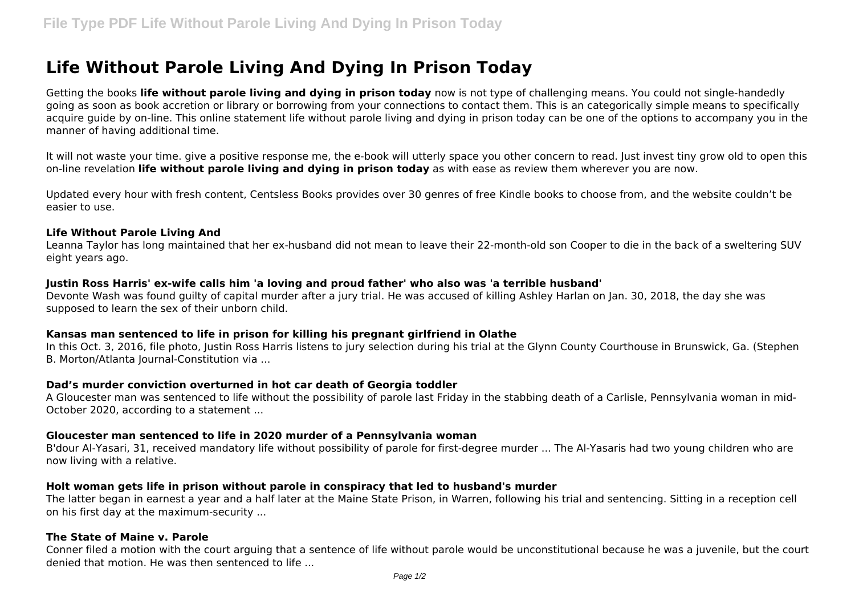# **Life Without Parole Living And Dying In Prison Today**

Getting the books **life without parole living and dying in prison today** now is not type of challenging means. You could not single-handedly going as soon as book accretion or library or borrowing from your connections to contact them. This is an categorically simple means to specifically acquire guide by on-line. This online statement life without parole living and dying in prison today can be one of the options to accompany you in the manner of having additional time.

It will not waste your time. give a positive response me, the e-book will utterly space you other concern to read. Just invest tiny grow old to open this on-line revelation **life without parole living and dying in prison today** as with ease as review them wherever you are now.

Updated every hour with fresh content, Centsless Books provides over 30 genres of free Kindle books to choose from, and the website couldn't be easier to use.

### **Life Without Parole Living And**

Leanna Taylor has long maintained that her ex-husband did not mean to leave their 22-month-old son Cooper to die in the back of a sweltering SUV eight years ago.

### **Justin Ross Harris' ex-wife calls him 'a loving and proud father' who also was 'a terrible husband'**

Devonte Wash was found guilty of capital murder after a jury trial. He was accused of killing Ashley Harlan on Jan. 30, 2018, the day she was supposed to learn the sex of their unborn child.

# **Kansas man sentenced to life in prison for killing his pregnant girlfriend in Olathe**

In this Oct. 3, 2016, file photo, Justin Ross Harris listens to jury selection during his trial at the Glynn County Courthouse in Brunswick, Ga. (Stephen B. Morton/Atlanta Journal-Constitution via ...

### **Dad's murder conviction overturned in hot car death of Georgia toddler**

A Gloucester man was sentenced to life without the possibility of parole last Friday in the stabbing death of a Carlisle, Pennsylvania woman in mid-October 2020, according to a statement ...

### **Gloucester man sentenced to life in 2020 murder of a Pennsylvania woman**

B'dour Al-Yasari, 31, received mandatory life without possibility of parole for first-degree murder ... The Al-Yasaris had two young children who are now living with a relative.

### **Holt woman gets life in prison without parole in conspiracy that led to husband's murder**

The latter began in earnest a year and a half later at the Maine State Prison, in Warren, following his trial and sentencing. Sitting in a reception cell on his first day at the maximum-security ...

# **The State of Maine v. Parole**

Conner filed a motion with the court arguing that a sentence of life without parole would be unconstitutional because he was a juvenile, but the court denied that motion. He was then sentenced to life ...